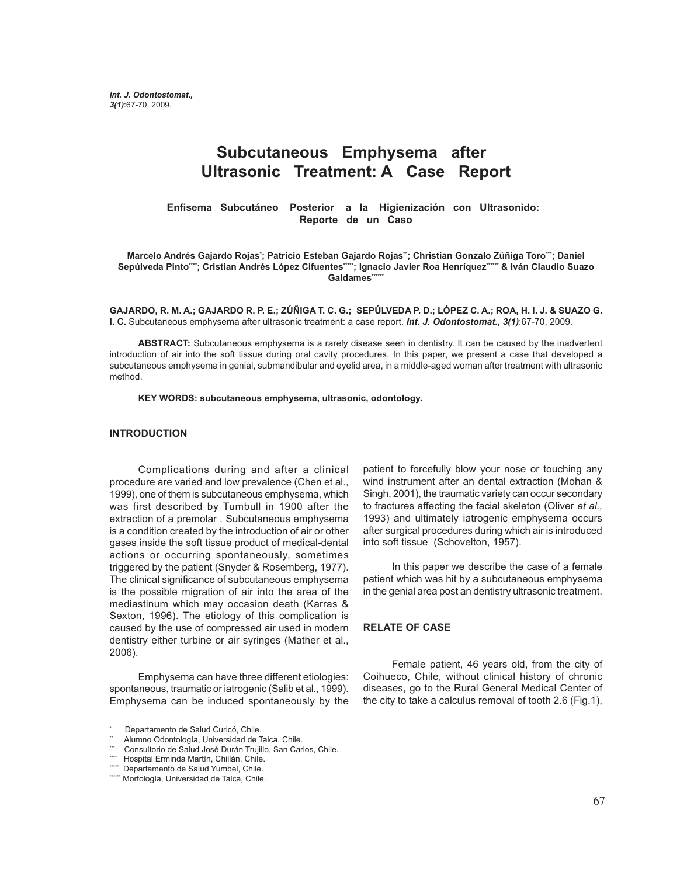# **Subcutaneous Emphysema after Ultrasonic Treatment: A Case Report**

**Enfisema Subcutáneo Posterior a la Higienización con Ultrasonido: Reporte de un Caso**

Marcelo Andrés Gajardo Rojas<sup>∙</sup>; Patricio Esteban Gajardo Rojas¨; Christian Gonzalo Zúñiga Toro<sup>…</sup>; Daniel Sepúlveda Pinto\*\*\*; Cristian Andrés López Cifuentes\*\*\*\*; Ignacio Javier Roa Henríquez\*\*\*\*\* & Iván Claudio Suazo Galdames\*\*\*\*\*\*

**GAJARDO, R. M. A.; GAJARDO R. P. E.; ZÚÑIGA T. C. G.; SEPÚLVEDA P. D.; LÓPEZ C. A.; ROA, H. I. J. & SUAZO G. I. C.** Subcutaneous emphysema after ultrasonic treatment: a case report. *Int. J. Odontostomat., 3(1)*:67-70, 2009.

**ABSTRACT:** Subcutaneous emphysema is a rarely disease seen in dentistry. It can be caused by the inadvertent introduction of air into the soft tissue during oral cavity procedures. In this paper, we present a case that developed a subcutaneous emphysema in genial, submandibular and eyelid area, in a middle-aged woman after treatment with ultrasonic method.

**KEY WORDS: subcutaneous emphysema, ultrasonic, odontology.**

#### **INTRODUCTION**

Complications during and after a clinical procedure are varied and low prevalence (Chen et al., 1999), one of them is subcutaneous emphysema, which was first described by Tumbull in 1900 after the extraction of a premolar . Subcutaneous emphysema is a condition created by the introduction of air or other gases inside the soft tissue product of medical-dental actions or occurring spontaneously, sometimes triggered by the patient (Snyder & Rosemberg, 1977). The clinical significance of subcutaneous emphysema is the possible migration of air into the area of the mediastinum which may occasion death (Karras & Sexton, 1996). The etiology of this complication is caused by the use of compressed air used in modern dentistry either turbine or air syringes (Mather et al., 2006).

Emphysema can have three different etiologies: spontaneous, traumatic or iatrogenic (Salib et al., 1999). Emphysema can be induced spontaneously by the

patient to forcefully blow your nose or touching any wind instrument after an dental extraction (Mohan & Singh, 2001), the traumatic variety can occur secondary to fractures affecting the facial skeleton (Oliver *et al.,* 1993) and ultimately iatrogenic emphysema occurs after surgical procedures during which air is introduced into soft tissue (Schovelton, 1957).

In this paper we describe the case of a female patient which was hit by a subcutaneous emphysema in the genial area post an dentistry ultrasonic treatment.

#### **RELATE OF CASE**

Female patient, 46 years old, from the city of Coihueco, Chile, without clinical history of chronic diseases, go to the Rural General Medical Center of the city to take a calculus removal of tooth 2.6 (Fig.1),

<sup>\*</sup> Departamento de Salud Curicó, Chile.

Alumno Odontología, Universidad de Talca, Chile.

Consultorio de Salud José Durán Trujillo, San Carlos, Chile.

Hospital Erminda Martín, Chillán, Chile.

<sup>\*\*\*\*</sup> Departamento de Salud Yumbel, Chile.

<sup>\*\*\*\*\*</sup> Morfología, Universidad de Talca, Chile.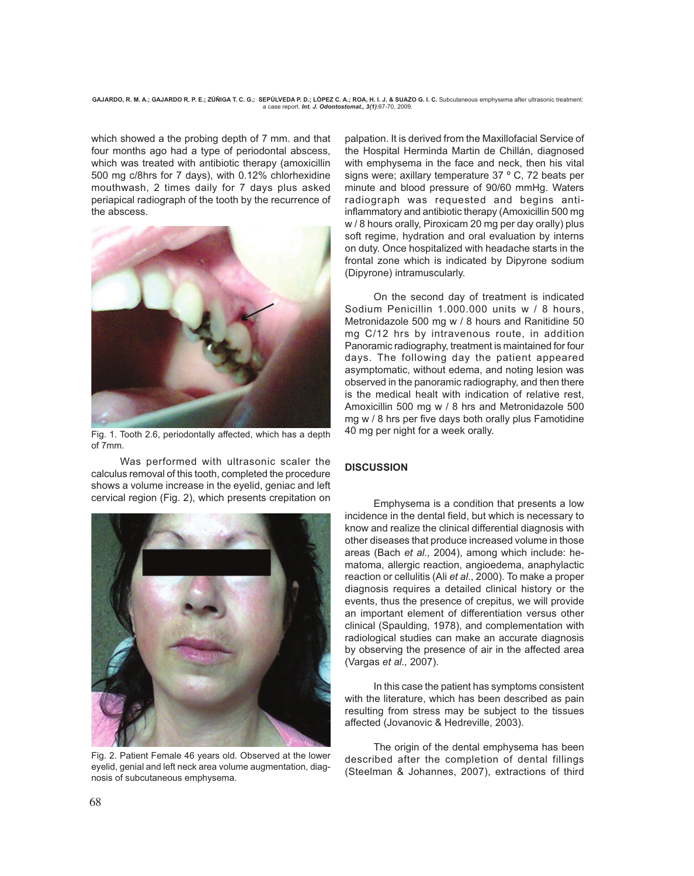**GAJARDO, R. M. A.; GAJARDO R. P. E.; ZÚÑIGA T. C. G.; SEPÚLVEDA P. D.; LÓPEZ C. A.; ROA, H. I. J. & SUAZO G. I. C.** Subcutaneous emphysema after ultrasonic treatment: a case report. *Int. J. Odontostomat., 3(1)*:67-70, 2009.

which showed a the probing depth of 7 mm. and that four months ago had a type of periodontal abscess, which was treated with antibiotic therapy (amoxicillin 500 mg c/8hrs for 7 days), with 0.12% chlorhexidine mouthwash, 2 times daily for 7 days plus asked periapical radiograph of the tooth by the recurrence of the abscess.



Fig. 1. Tooth 2.6, periodontally affected, which has a depth of 7mm.

Was performed with ultrasonic scaler the calculus removal of this tooth, completed the procedure shows a volume increase in the eyelid, geniac and left cervical region (Fig. 2), which presents crepitation on



Fig. 2. Patient Female 46 years old. Observed at the lower eyelid, genial and left neck area volume augmentation, diagnosis of subcutaneous emphysema.

palpation. It is derived from the Maxillofacial Service of the Hospital Herminda Martin de Chillán, diagnosed with emphysema in the face and neck, then his vital signs were; axillary temperature 37 º C, 72 beats per minute and blood pressure of 90/60 mmHg. Waters radiograph was requested and begins antiinflammatory and antibiotic therapy (Amoxicillin 500 mg w / 8 hours orally, Piroxicam 20 mg per day orally) plus soft regime, hydration and oral evaluation by interns on duty. Once hospitalized with headache starts in the frontal zone which is indicated by Dipyrone sodium (Dipyrone) intramuscularly.

On the second day of treatment is indicated Sodium Penicillin 1.000.000 units w / 8 hours, Metronidazole 500 mg w / 8 hours and Ranitidine 50 mg C/12 hrs by intravenous route, in addition Panoramic radiography, treatment is maintained for four days. The following day the patient appeared asymptomatic, without edema, and noting lesion was observed in the panoramic radiography, and then there is the medical healt with indication of relative rest, Amoxicillin 500 mg w / 8 hrs and Metronidazole 500 mg w / 8 hrs per five days both orally plus Famotidine 40 mg per night for a week orally.

## **DISCUSSION**

Emphysema is a condition that presents a low incidence in the dental field, but which is necessary to know and realize the clinical differential diagnosis with other diseases that produce increased volume in those areas (Bach *et al.,* 2004), among which include: hematoma, allergic reaction, angioedema, anaphylactic reaction or cellulitis (Ali *et al*., 2000). To make a proper diagnosis requires a detailed clinical history or the events, thus the presence of crepitus, we will provide an important element of differentiation versus other clinical (Spaulding, 1978), and complementation with radiological studies can make an accurate diagnosis by observing the presence of air in the affected area (Vargas *et al.,* 2007).

In this case the patient has symptoms consistent with the literature, which has been described as pain resulting from stress may be subject to the tissues affected (Jovanovic & Hedreville, 2003).

The origin of the dental emphysema has been described after the completion of dental fillings (Steelman & Johannes, 2007), extractions of third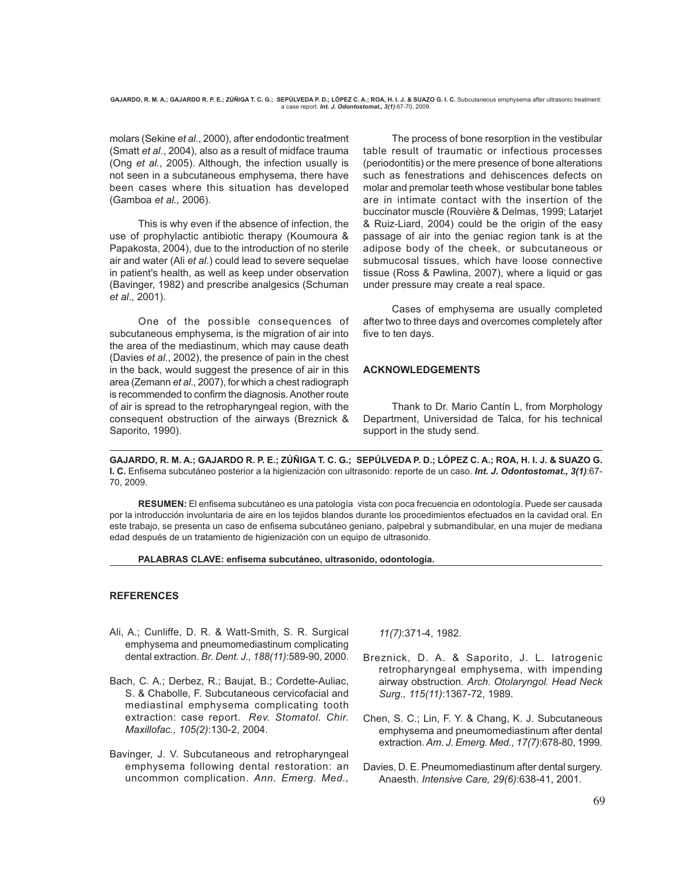molars (Sekine *et al.*, 2000), after endodontic treatment (Smatt *et al*., 2004), also as a result of midface trauma (Ong *et al.*, 2005). Although, the infection usually is not seen in a subcutaneous emphysema, there have been cases where this situation has developed (Gamboa *et al.,* 2006).

This is why even if the absence of infection, the use of prophylactic antibiotic therapy (Koumoura & Papakosta, 2004), due to the introduction of no sterile air and water (Ali *et al*.) could lead to severe sequelae in patient's health, as well as keep under observation (Bavinger, 1982) and prescribe analgesics (Schuman *et al*., 2001).

One of the possible consequences of subcutaneous emphysema, is the migration of air into the area of the mediastinum, which may cause death (Davies *et al.*, 2002), the presence of pain in the chest in the back, would suggest the presence of air in this area (Zemann *et al*., 2007), for which a chest radiograph is recommended to confirm the diagnosis. Another route of air is spread to the retropharyngeal region, with the consequent obstruction of the airways (Breznick & Saporito, 1990).

 The process of bone resorption in the vestibular table result of traumatic or infectious processes (periodontitis) or the mere presence of bone alterations such as fenestrations and dehiscences defects on molar and premolar teeth whose vestibular bone tables are in intimate contact with the insertion of the buccinator muscle (Rouvière & Delmas, 1999; Latarjet & Ruiz-Liard, 2004) could be the origin of the easy passage of air into the geniac region tank is at the adipose body of the cheek, or subcutaneous or submucosal tissues, which have loose connective tissue (Ross & Pawlina, 2007), where a liquid or gas under pressure may create a real space.

Cases of emphysema are usually completed after two to three days and overcomes completely after five to ten days.

## **ACKNOWLEDGEMENTS**

Thank to Dr. Mario Cantín L, from Morphology Department, Universidad de Talca, for his technical support in the study send.

**GAJARDO, R. M. A.; GAJARDO R. P. E.; ZÚÑIGA T. C. G.; SEPÚLVEDA P. D.; LÓPEZ C. A.; ROA, H. I. J. & SUAZO G. I. C.** Enfisema subcutáneo posterior a la higienización con ultrasonido: reporte de un caso. *Int. J. Odontostomat., 3(1)*:67- 70, 2009.

**RESUMEN:** El enfisema subcutáneo es una patología vista con poca frecuencia en odontología. Puede ser causada por la introducción involuntaria de aire en los tejidos blandos durante los procedimientos efectuados en la cavidad oral. En este trabajo, se presenta un caso de enfisema subcutáneo geniano, palpebral y submandibular, en una mujer de mediana edad después de un tratamiento de higienización con un equipo de ultrasonido.

## **PALABRAS CLAVE: enfisema subcutáneo, ultrasonido, odontología.**

## **REFERENCES**

- Ali, A.; Cunliffe, D. R. & Watt-Smith, S. R. Surgical emphysema and pneumomediastinum complicating dental extraction. *Br. Dent. J., 188(11)*:589-90, 2000.
- Bach, C. A.; Derbez, R.; Baujat, B.; Cordette-Auliac, S. & Chabolle, F. Subcutaneous cervicofacial and mediastinal emphysema complicating tooth extraction: case report. *Rev. Stomatol. Chir. Maxillofac., 105(2)*:130-2, 2004.
- Bavinger, J. V. Subcutaneous and retropharyngeal emphysema following dental restoration: an uncommon complication. *Ann. Emerg. Med.,*

*11(7)*:371-4, 1982.

- Breznick, D. A. & Saporito, J. L. Iatrogenic retropharyngeal emphysema, with impending airway obstruction. *Arch. Otolaryngol. Head Neck Surg., 115(11)*:1367-72, 1989.
- Chen, S. C.; Lin, F. Y. & Chang, K. J. Subcutaneous emphysema and pneumomediastinum after dental extraction. *Am. J. Emerg. Med., 17(7)*:678-80, 1999.
- Davies, D. E. Pneumomediastinum after dental surgery. Anaesth. *Intensive Care, 29(6)*:638-41, 2001.